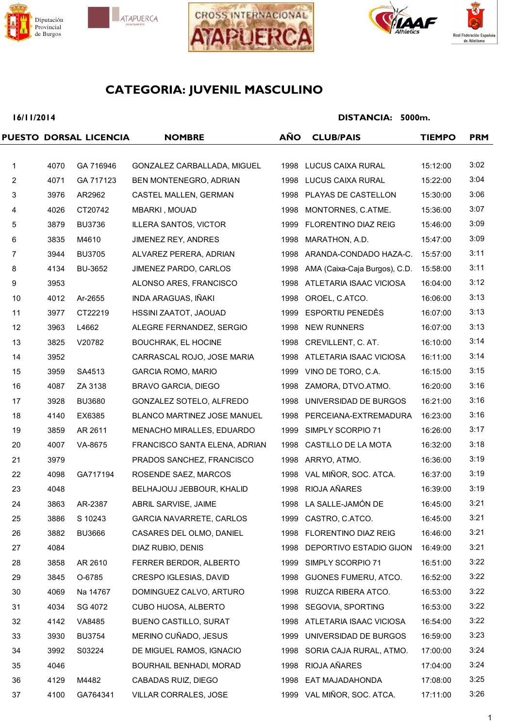







## **16/11/2014**

|                         |      | PUESTO DORSAL LICENCIA | <b>NOMBRE</b>                 | <b>AÑO</b> | <b>CLUB/PAIS</b>              | <b>TIEMPO</b> | <b>PRM</b> |
|-------------------------|------|------------------------|-------------------------------|------------|-------------------------------|---------------|------------|
|                         |      |                        |                               |            |                               |               |            |
| 1                       | 4070 | GA 716946              | GONZALEZ CARBALLADA, MIGUEL   |            | 1998 LUCUS CAIXA RURAL        | 15:12:00      | 3:02       |
| $\overline{2}$          | 4071 | GA 717123              | BEN MONTENEGRO, ADRIAN        |            | 1998 LUCUS CAIXA RURAL        | 15:22:00      | 3:04       |
| 3                       | 3976 | AR2962                 | CASTEL MALLEN, GERMAN         |            | 1998 PLAYAS DE CASTELLON      | 15:30:00      | 3:06       |
| $\overline{\mathbf{4}}$ | 4026 | CT20742                | MBARKI, MOUAD                 | 1998       | MONTORNES, C.ATME.            | 15:36:00      | 3:07       |
| 5                       | 3879 | <b>BU3736</b>          | <b>ILLERA SANTOS, VICTOR</b>  | 1999       | <b>FLORENTINO DIAZ REIG</b>   | 15:46:00      | 3:09       |
| 6                       | 3835 | M4610                  | JIMENEZ REY, ANDRES           | 1998       | MARATHON, A.D.                | 15:47:00      | 3:09       |
| $\overline{7}$          | 3944 | <b>BU3705</b>          | ALVAREZ PERERA, ADRIAN        | 1998       | ARANDA-CONDADO HAZA-C.        | 15:57:00      | 3:11       |
| 8                       | 4134 | BU-3652                | JIMENEZ PARDO, CARLOS         | 1998       | AMA (Caixa-Caja Burgos), C.D. | 15:58:00      | 3:11       |
| 9                       | 3953 |                        | ALONSO ARES, FRANCISCO        |            | 1998 ATLETARIA ISAAC VICIOSA  | 16:04:00      | 3:12       |
| 10                      | 4012 | Ar-2655                | INDA ARAGUAS, IÑAKI           | 1998       | OROEL, C.ATCO.                | 16:06:00      | 3:13       |
| 11                      | 3977 | CT22219                | HSSINI ZAATOT, JAOUAD         | 1999       | ESPORTIU PENEDÈS              | 16:07:00      | 3:13       |
| 12                      | 3963 | L4662                  | ALEGRE FERNANDEZ, SERGIO      | 1998       | <b>NEW RUNNERS</b>            | 16:07:00      | 3:13       |
| 13                      | 3825 | V20782                 | <b>BOUCHRAK, EL HOCINE</b>    | 1998       | CREVILLENT, C. AT.            | 16:10:00      | 3:14       |
| 14                      | 3952 |                        | CARRASCAL ROJO, JOSE MARIA    |            | 1998 ATLETARIA ISAAC VICIOSA  | 16:11:00      | 3:14       |
| 15                      | 3959 | SA4513                 | <b>GARCIA ROMO, MARIO</b>     | 1999       | VINO DE TORO, C.A.            | 16:15:00      | 3:15       |
| 16                      | 4087 | ZA 3138                | <b>BRAVO GARCIA, DIEGO</b>    |            | 1998 ZAMORA, DTVO.ATMO.       | 16:20:00      | 3:16       |
| 17                      | 3928 | <b>BU3680</b>          | GONZALEZ SOTELO, ALFREDO      | 1998       | UNIVERSIDAD DE BURGOS         | 16:21:00      | 3:16       |
| 18                      | 4140 | EX6385                 | BLANCO MARTINEZ JOSE MANUEL   | 1998       | PERCEIANA-EXTREMADURA         | 16:23:00      | 3:16       |
| 19                      | 3859 | AR 2611                | MENACHO MIRALLES, EDUARDO     | 1999       | SIMPLY SCORPIO 71             | 16:26:00      | 3:17       |
| 20                      | 4007 | VA-8675                | FRANCISCO SANTA ELENA, ADRIAN | 1998       | CASTILLO DE LA MOTA           | 16:32:00      | 3:18       |
| 21                      | 3979 |                        | PRADOS SANCHEZ, FRANCISCO     |            | 1998 ARRYO, ATMO.             | 16:36:00      | 3:19       |
| 22                      | 4098 | GA717194               | ROSENDE SAEZ, MARCOS          | 1998       | VAL MIÑOR, SOC. ATCA.         | 16:37:00      | 3:19       |
| 23                      | 4048 |                        | BELHAJOUJ JEBBOUR, KHALID     | 1998       | RIOJA AÑARES                  | 16:39:00      | 3:19       |
| 24                      | 3863 | AR-2387                | ABRIL SARVISE, JAIME          |            | 1998 LA SALLE-JAMÓN DE        | 16:45:00      | 3:21       |
| 25                      | 3886 | S 10243                | GARCIA NAVARRETE, CARLOS      |            | 1999 CASTRO, C.ATCO.          | 16:45:00      | 3:21       |
| 26                      | 3882 | <b>BU3666</b>          | CASARES DEL OLMO, DANIEL      |            | 1998 FLORENTINO DIAZ REIG     | 16:46:00      | 3:21       |
| 27                      | 4084 |                        | DIAZ RUBIO, DENIS             |            | 1998 DEPORTIVO ESTADIO GIJON  | 16:49:00      | 3:21       |
| 28                      | 3858 | AR 2610                | FERRER BERDOR, ALBERTO        |            | 1999 SIMPLY SCORPIO 71        | 16:51:00      | 3:22       |
| 29                      | 3845 | O-6785                 | CRESPO IGLESIAS, DAVID        |            | 1998 GIJONES FUMERU, ATCO.    | 16:52:00      | 3:22       |
| 30                      | 4069 | Na 14767               | DOMINGUEZ CALVO, ARTURO       |            | 1998 RUIZCA RIBERA ATCO.      | 16:53:00      | 3:22       |
| 31                      | 4034 | SG 4072                | CUBO HIJOSA, ALBERTO          |            | 1998 SEGOVIA, SPORTING        | 16:53:00      | 3:22       |
| 32                      | 4142 | VA8485                 | <b>BUENO CASTILLO, SURAT</b>  |            | 1998 ATLETARIA ISAAC VICIOSA  | 16:54:00      | 3:22       |
| 33                      | 3930 | <b>BU3754</b>          | MERINO CUÑADO, JESUS          |            | 1999 UNIVERSIDAD DE BURGOS    | 16:59:00      | 3:23       |
| 34                      | 3992 | S03224                 | DE MIGUEL RAMOS, IGNACIO      |            | 1998 SORIA CAJA RURAL, ATMO.  | 17:00:00      | 3:24       |
| 35                      | 4046 |                        | BOURHAIL BENHADI, MORAD       |            | 1998 RIOJA AÑARES             | 17:04:00      | 3:24       |
| 36                      | 4129 | M4482                  | CABADAS RUIZ, DIEGO           | 1998       | EAT MAJADAHONDA               | 17:08:00      | 3:25       |
| 37                      | 4100 | GA764341               | VILLAR CORRALES, JOSE         |            | 1999 VAL MIÑOR, SOC. ATCA.    | 17:11:00      | 3:26       |
|                         |      |                        |                               |            |                               |               |            |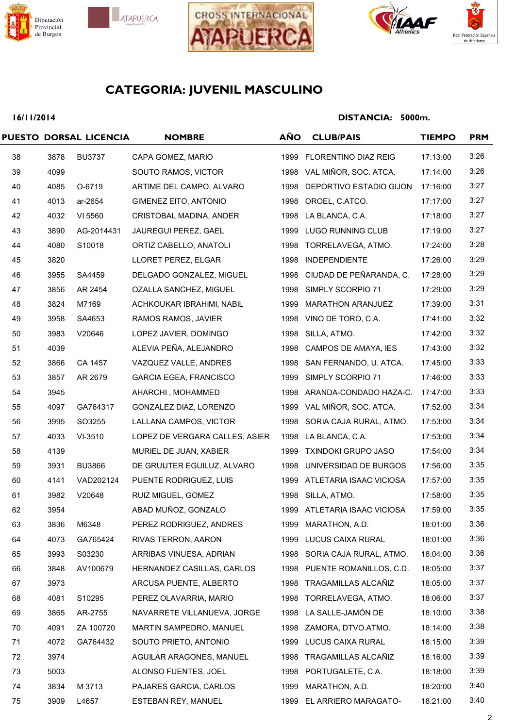







## **16/11/2014**

|    |      | PUESTO DORSAL LICENCIA | <b>NOMBRE</b>                  | <b>AÑO</b> | <b>CLUB/PAIS</b>             | <b>TIEMPO</b> | <b>PRM</b> |
|----|------|------------------------|--------------------------------|------------|------------------------------|---------------|------------|
| 38 | 3878 | <b>BU3737</b>          | CAPA GOMEZ, MARIO              |            | 1999 FLORENTINO DIAZ REIG    | 17:13:00      | 3:26       |
| 39 | 4099 |                        | SOUTO RAMOS, VICTOR            |            | 1998 VAL MIÑOR, SOC. ATCA.   | 17:14:00      | 3:26       |
| 40 | 4085 | O-6719                 | ARTIME DEL CAMPO, ALVARO       | 1998       | DEPORTIVO ESTADIO GIJON      | 17:16:00      | 3:27       |
| 41 | 4013 | ar-2654                | GIMENEZ EITO, ANTONIO          |            | 1998 OROEL, C.ATCO.          | 17:17:00      | 3:27       |
| 42 | 4032 | VI 5560                | CRISTOBAL MADINA, ANDER        | 1998       | LA BLANCA, C.A.              | 17:18:00      | 3:27       |
| 43 | 3890 | AG-2014431             | JAUREGUI PEREZ, GAEL           |            | 1999 LUGO RUNNING CLUB       | 17:19:00      | 3:27       |
| 44 | 4080 | S10018                 | ORTIZ CABELLO, ANATOLI         |            | 1998 TORRELAVEGA, ATMO.      | 17:24:00      | 3:28       |
| 45 | 3820 |                        | LLORET PEREZ, ELGAR            | 1998       | <b>INDEPENDIENTE</b>         | 17:26:00      | 3:29       |
| 46 | 3955 | SA4459                 | DELGADO GONZALEZ, MIGUEL       |            | 1998 CIUDAD DE PEÑARANDA, C. | 17:28:00      | 3:29       |
| 47 | 3856 | AR 2454                | OZALLA SANCHEZ, MIGUEL         |            | 1998 SIMPLY SCORPIO 71       | 17:29:00      | 3:29       |
| 48 | 3824 | M7169                  | ACHKOUKAR IBRAHIMI, NABIL      |            | 1999 MARATHON ARANJUEZ       | 17:39:00      | 3:31       |
| 49 | 3958 | SA4653                 | RAMOS RAMOS, JAVIER            |            | 1998 VINO DE TORO, C.A.      | 17:41:00      | 3:32       |
| 50 | 3983 | V20646                 | LOPEZ JAVIER, DOMINGO          |            | 1998 SILLA, ATMO.            | 17:42:00      | 3:32       |
| 51 | 4039 |                        | ALEVIA PEÑA, ALEJANDRO         | 1998       | CAMPOS DE AMAYA, IES         | 17:43:00      | 3:32       |
| 52 | 3866 | CA 1457                | VAZQUEZ VALLE, ANDRES          |            | 1998 SAN FERNANDO, U. ATCA.  | 17:45:00      | 3:33       |
| 53 | 3857 | AR 2679                | <b>GARCIA EGEA, FRANCISCO</b>  |            | 1999 SIMPLY SCORPIO 71       | 17:46:00      | 3:33       |
| 54 | 3945 |                        | AHARCHI, MOHAMMED              |            | 1998 ARANDA-CONDADO HAZA-C.  | 17:47:00      | 3:33       |
| 55 | 4097 | GA764317               | GONZALEZ DIAZ, LORENZO         |            | 1999 VAL MIÑOR, SOC. ATCA.   | 17:52:00      | 3:34       |
| 56 | 3995 | SO3255                 | LALLANA CAMPOS, VICTOR         |            | 1998 SORIA CAJA RURAL, ATMO. | 17:53:00      | 3:34       |
| 57 | 4033 | VI-3510                | LOPEZ DE VERGARA CALLES, ASIER | 1998       | LA BLANCA, C.A.              | 17:53:00      | 3:34       |
| 58 | 4139 |                        | MURIEL DE JUAN, XABIER         |            | 1999 TXINDOKI GRUPO JASO     | 17:54:00      | 3:34       |
| 59 | 3931 | <b>BU3866</b>          | DE GRUIJTER EGUILUZ, ALVARO    |            | 1998 UNIVERSIDAD DE BURGOS   | 17:56:00      | 3:35       |
| 60 | 4141 | VAD202124              | PUENTE RODRIGUEZ, LUIS         |            | 1999 ATLETARIA ISAAC VICIOSA | 17:57:00      | 3:35       |
| 61 | 3982 | V20648                 | RUIZ MIGUEL, GOMEZ             |            | 1998 SILLA, ATMO.            | 17:58:00      | 3:35       |
| 62 | 3954 |                        | ABAD MUÑOZ, GONZALO            |            | 1999 ATLETARIA ISAAC VICIOSA | 17:59:00      | 3:35       |
| 63 | 3836 | M6348                  | PEREZ RODRIGUEZ, ANDRES        |            | 1999 MARATHON, A.D.          | 18:01:00      | 3:36       |
| 64 | 4073 | GA765424               | RIVAS TERRON, AARON            |            | 1999 LUCUS CAIXA RURAL       | 18:01:00      | 3:36       |
| 65 | 3993 | S03230                 | ARRIBAS VINUESA, ADRIAN        |            | 1998 SORIA CAJA RURAL, ATMO. | 18:04:00      | 3:36       |
| 66 | 3848 | AV100679               | HERNANDEZ CASILLAS, CARLOS     |            | 1998 PUENTE ROMANILLOS, C.D. | 18:05:00      | 3:37       |
| 67 | 3973 |                        | ARCUSA PUENTE, ALBERTO         |            | 1998 TRAGAMILLAS ALCAÑIZ     | 18:05:00      | 3:37       |
| 68 | 4081 | S10295                 | PEREZ OLAVARRIA, MARIO         |            | 1998 TORRELAVEGA, ATMO.      | 18:06:00      | 3:37       |
| 69 | 3865 | AR-2755                | NAVARRETE VILLANUEVA, JORGE    |            | 1998 LA SALLE-JAMÓN DE       | 18:10:00      | 3:38       |
| 70 | 4091 | ZA 100720              | MARTIN SAMPEDRO, MANUEL        |            | 1998 ZAMORA, DTVO.ATMO.      | 18:14:00      | 3:38       |
| 71 | 4072 | GA764432               | SOUTO PRIETO, ANTONIO          |            | 1999 LUCUS CAIXA RURAL       | 18:15:00      | 3:39       |
| 72 | 3974 |                        | AGUILAR ARAGONES, MANUEL       |            | 1998 TRAGAMILLAS ALCAÑIZ     | 18:16:00      | 3:39       |
| 73 | 5003 |                        | ALONSO FUENTES, JOEL           |            | 1998 PORTUGALETE, C.A.       | 18:18:00      | 3:39       |
| 74 | 3834 | M 3713                 | PAJARES GARCIA, CARLOS         |            | 1999 MARATHON, A.D.          | 18:20:00      | 3:40       |
| 75 | 3909 | L4657                  | ESTEBAN REY, MANUEL            |            | 1999 EL ARRIERO MARAGATO-    | 18:21:00      | 3:40       |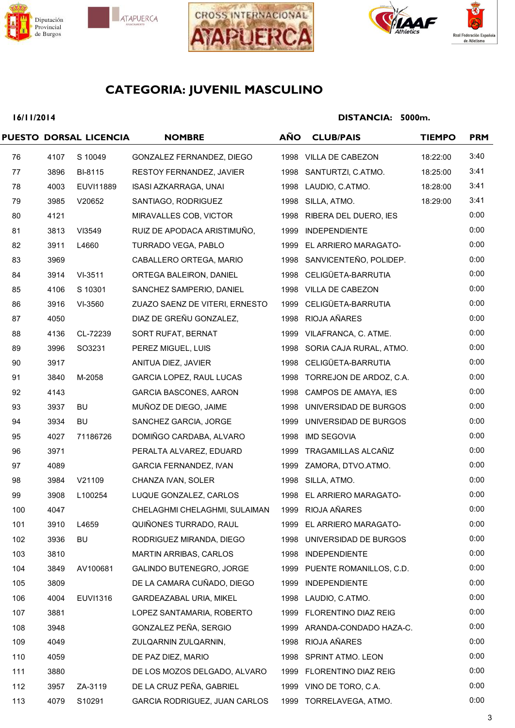







## **16/11/2014**

|     |      | PUESTO DORSAL LICENCIA | <b>NOMBRE</b>                  | <b>AÑO</b> | <b>CLUB/PAIS</b>             | <b>TIEMPO</b> | <b>PRM</b> |
|-----|------|------------------------|--------------------------------|------------|------------------------------|---------------|------------|
| 76  | 4107 | S 10049                | GONZALEZ FERNANDEZ, DIEGO      |            | 1998 VILLA DE CABEZON        | 18:22:00      | 3:40       |
| 77  | 3896 | BI-8115                | RESTOY FERNANDEZ, JAVIER       |            | 1998 SANTURTZI, C.ATMO.      | 18:25:00      | 3:41       |
| 78  | 4003 | EUVI11889              | ISASI AZKARRAGA, UNAI          |            | 1998 LAUDIO, C.ATMO.         | 18:28:00      | 3:41       |
| 79  | 3985 | V20652                 | SANTIAGO, RODRIGUEZ            |            | 1998 SILLA, ATMO.            | 18:29:00      | 3:41       |
| 80  | 4121 |                        | MIRAVALLES COB, VICTOR         |            | 1998 RIBERA DEL DUERO, IES   |               | 0:00       |
| 81  | 3813 | VI3549                 | RUIZ DE APODACA ARISTIMUÑO,    |            | 1999 INDEPENDIENTE           |               | 0:00       |
| 82  | 3911 | L4660                  | TURRADO VEGA, PABLO            |            | 1999 EL ARRIERO MARAGATO-    |               | 0:00       |
| 83  | 3969 |                        | CABALLERO ORTEGA, MARIO        |            | 1998 SANVICENTEÑO, POLIDEP.  |               | 0:00       |
| 84  | 3914 | VI-3511                | ORTEGA BALEIRON, DANIEL        |            | 1998 CELIGÜETA-BARRUTIA      |               | 0:00       |
| 85  | 4106 | S 10301                | SANCHEZ SAMPERIO, DANIEL       |            | 1998 VILLA DE CABEZON        |               | 0:00       |
| 86  | 3916 | VI-3560                | ZUAZO SAENZ DE VITERI, ERNESTO |            | 1999 CELIGÜETA-BARRUTIA      |               | 0:00       |
| 87  | 4050 |                        | DIAZ DE GREÑU GONZALEZ,        |            | 1998 RIOJA AÑARES            |               | 0:00       |
| 88  | 4136 | CL-72239               | SORT RUFAT, BERNAT             |            | 1999 VILAFRANCA, C. ATME.    |               | 0:00       |
| 89  | 3996 | SO3231                 | PEREZ MIGUEL, LUIS             |            | 1998 SORIA CAJA RURAL, ATMO. |               | 0:00       |
| 90  | 3917 |                        | ANITUA DIEZ, JAVIER            |            | 1998 CELIGÜETA-BARRUTIA      |               | 0:00       |
| 91  | 3840 | M-2058                 | GARCIA LOPEZ, RAUL LUCAS       |            | 1998 TORREJON DE ARDOZ, C.A. |               | 0:00       |
| 92  | 4143 |                        | <b>GARCIA BASCONES, AARON</b>  |            | 1998 CAMPOS DE AMAYA, IES    |               | 0:00       |
| 93  | 3937 | BU                     | MUÑOZ DE DIEGO, JAIME          |            | 1998 UNIVERSIDAD DE BURGOS   |               | 0:00       |
| 94  | 3934 | BU                     | SANCHEZ GARCIA, JORGE          |            | 1999 UNIVERSIDAD DE BURGOS   |               | 0:00       |
| 95  | 4027 | 71186726               | DOMIÑGO CARDABA, ALVARO        |            | 1998 IMD SEGOVIA             |               | 0:00       |
| 96  | 3971 |                        | PERALTA ALVAREZ, EDUARD        |            | 1999 TRAGAMILLAS ALCAÑIZ     |               | 0:00       |
| 97  | 4089 |                        | <b>GARCIA FERNANDEZ, IVAN</b>  |            | 1999 ZAMORA, DTVO.ATMO.      |               | 0:00       |
| 98  | 3984 | V21109                 | CHANZA IVAN, SOLER             |            | 1998 SILLA, ATMO.            |               | 0:00       |
| 99  | 3908 | L100254                | LUQUE GONZALEZ, CARLOS         |            | 1998 EL ARRIERO MARAGATO-    |               | 0:00       |
| 100 | 4047 |                        | CHELAGHMI CHELAGHMI, SULAIMAN  |            | 1999 RIOJA AÑARES            |               | 0:00       |
| 101 | 3910 | L4659                  | QUIÑONES TURRADO, RAUL         |            | 1999 EL ARRIERO MARAGATO-    |               | 0:00       |
| 102 | 3936 | BU                     | RODRIGUEZ MIRANDA, DIEGO       |            | 1998 UNIVERSIDAD DE BURGOS   |               | 0:00       |
| 103 | 3810 |                        | <b>MARTIN ARRIBAS, CARLOS</b>  |            | 1998 INDEPENDIENTE           |               | 0:00       |
| 104 | 3849 | AV100681               | GALINDO BUTENEGRO, JORGE       |            | 1999 PUENTE ROMANILLOS, C.D. |               | 0:00       |
| 105 | 3809 |                        | DE LA CAMARA CUÑADO, DIEGO     |            | 1999 INDEPENDIENTE           |               | 0:00       |
| 106 | 4004 | EUVI1316               | GARDEAZABAL URIA, MIKEL        |            | 1998 LAUDIO, C.ATMO.         |               | 0:00       |
| 107 | 3881 |                        | LOPEZ SANTAMARIA, ROBERTO      |            | 1999 FLORENTINO DIAZ REIG    |               | 0:00       |
| 108 | 3948 |                        | GONZALEZ PEÑA, SERGIO          |            | 1999 ARANDA-CONDADO HAZA-C.  |               | 0:00       |
| 109 | 4049 |                        | ZULQARNIN ZULQARNIN,           |            | 1998 RIOJA AÑARES            |               | 0:00       |
| 110 | 4059 |                        | DE PAZ DIEZ, MARIO             |            | 1998 SPRINT ATMO. LEON       |               | 0:00       |
| 111 | 3880 |                        | DE LOS MOZOS DELGADO, ALVARO   |            | 1999 FLORENTINO DIAZ REIG    |               | 0:00       |
| 112 | 3957 | ZA-3119                | DE LA CRUZ PEÑA, GABRIEL       |            | 1999 VINO DE TORO, C.A.      |               | 0:00       |
| 113 | 4079 | S10291                 | GARCIA RODRIGUEZ, JUAN CARLOS  |            | 1999 TORRELAVEGA, ATMO.      |               | 0:00       |
|     |      |                        |                                |            |                              |               |            |